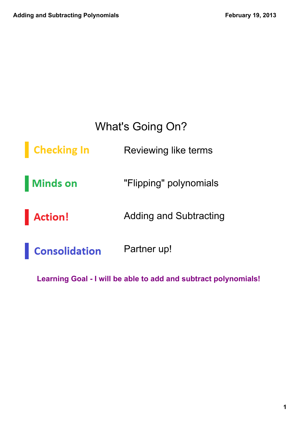#### What's Going On?

**Checking In** Reviewing like terms

**Minds on** "Flipping" polynomials

**Action!** Adding and Subtracting

Partner up! **Consolidation** 

Learning Goal - I will be able to add and subtract polynomials!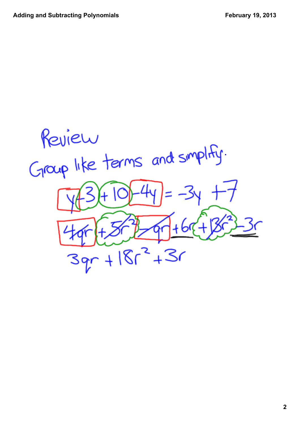Review Group like terms and simplify.  $39r + 18r^2 + 3r$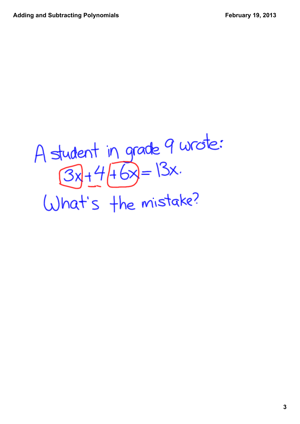# A student in grade 9 wrote:<br> $(3x)+4(16x)=13x$ . What's the mistake?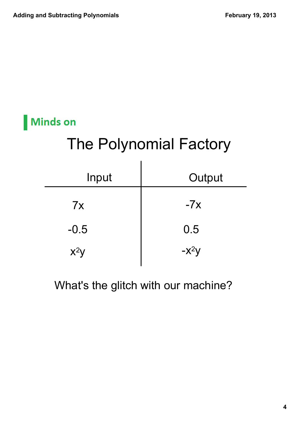#### **Minds on**

# The Polynomial Factory

| Input  | Output  |
|--------|---------|
| 7x     | $-7x$   |
| $-0.5$ | 0.5     |
| $x^2y$ | $-x^2y$ |

What's the glitch with our machine?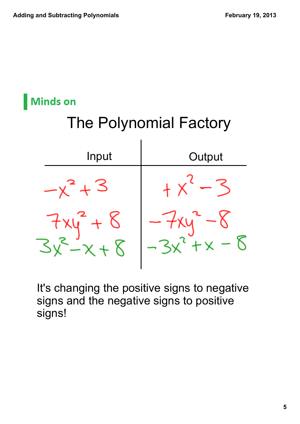

It's changing the positive signs to negative signs and the negative signs to positive signs!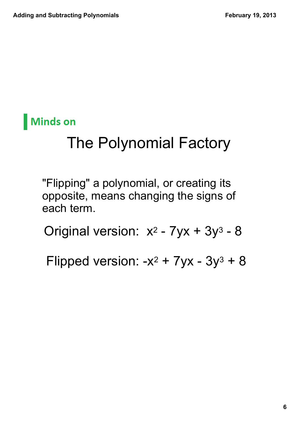

# The Polynomial Factory

"Flipping" a polynomial, or creating its opposite, means changing the signs of each term.

Original version:  $x^2$  -  $7yx + 3y^3$  -  $8$ 

Flipped version: -x² + 7yx - 3y3 + 8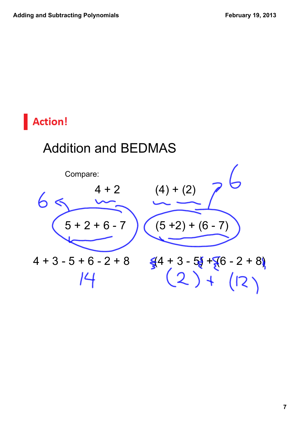#### Addition and BEDMAS

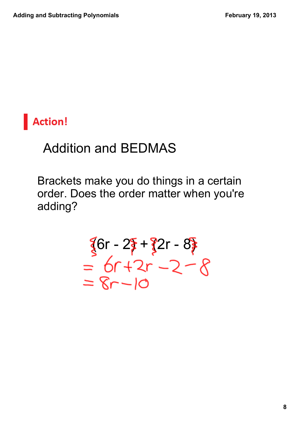

#### Addition and BEDMAS

Brackets make you do things in a certain order. Does the order matter when you're adding?

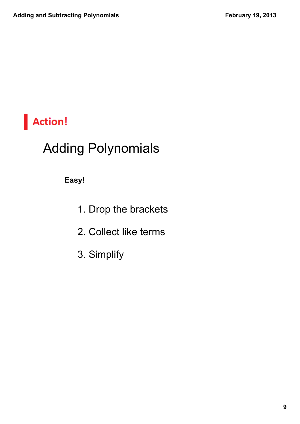

#### Adding Polynomials

**Easy!**

- 1. Drop the brackets
- 2. Collect like terms
- 3. Simplify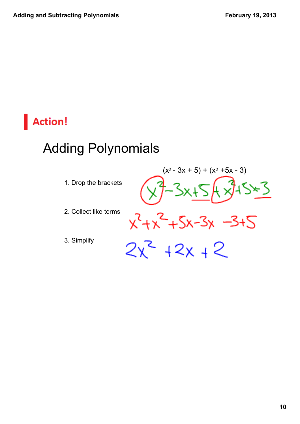### Adding Polynomials

- 1. Drop the brackets
- 2. Collect like terms
- 3. Simplify

=3  $-3 + 5$ 

(x<sup>2</sup> - 3x + 5) + (x<sup>2</sup> +5x - 3)

 $-3x$  $2x^2 + 2x + 2$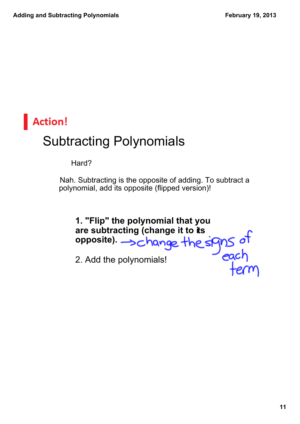## **Action!** Subtracting Polynomials

Hard?

Nah. Subtracting is the opposite of adding. To subtract a polynomial, add its opposite (flipped version)!

**1. "Flip" the polynomial that you are subtracting (change it to its opposite).**  2. Add the polynomials!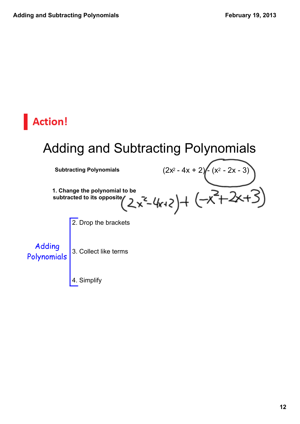#### Adding and Subtracting Polynomials

**Subtracting Polynomials** (2x2 4x + 2) (x<sup>2</sup> 2x 3)

**1. Change the polynomial to be subtracted to its opposite**

2. Drop the brackets

Adding Polynomials

3. Collect like terms

4. Simplify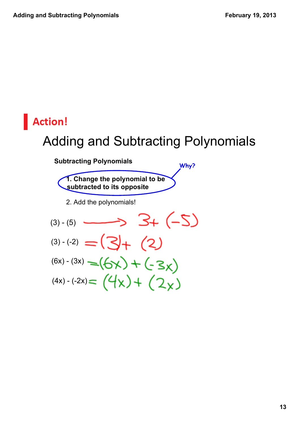#### Adding and Subtracting Polynomials

**Why?**

**Subtracting Polynomials**

**1. Change the polynomial to be subtracted to its opposite** 2. Add the polynomials!  $3 + (-5)$  $(3) - (5)$  $(3)-(2) = (3) + (2)$  $(6x) - (3x) = (6x) + (-3x)$  $(4x) - (-2x) = (4x) + (2x)$